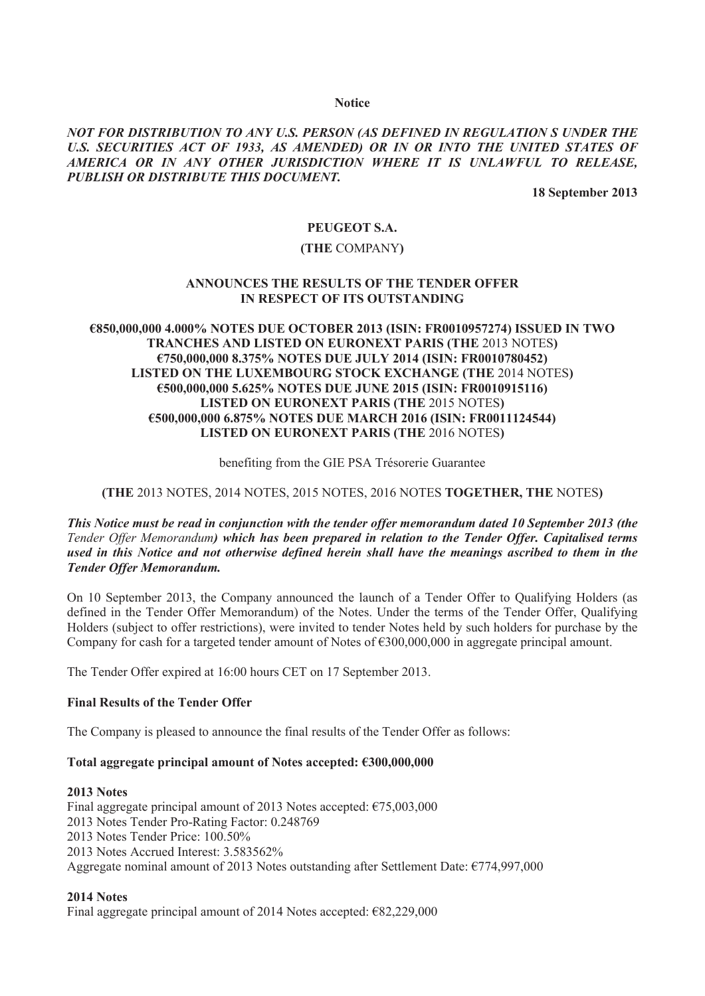#### **Notice**

## *NOT FOR DISTRIBUTION TO ANY U.S. PERSON (AS DEFINED IN REGULATION S UNDER THE*  U.S. SECURITIES ACT OF 1933, AS AMENDED) OR IN OR INTO THE UNITED STATES OF *AMERICA OR IN ANY OTHER JURISDICTION WHERE IT IS UNLAWFUL TO RELEASE, PUBLISH OR DISTRIBUTE THIS DOCUMENT.*

**18 September 2013**

## **PEUGEOT S.A.**

## **(THE** COMPANY**)**

### **ANNOUNCES THE RESULTS OF THE TENDER OFFER IN RESPECT OF ITS OUTSTANDING**

## **€850,000,000 4.000% NOTES DUE OCTOBER 2013 (ISIN: FR0010957274) ISSUED IN TWO TRANCHES AND LISTED ON EURONEXT PARIS (THE** 2013 NOTES**) €750,000,000 8.375% NOTES DUE JULY 2014 (ISIN: FR0010780452) LISTED ON THE LUXEMBOURG STOCK EXCHANGE (THE** 2014 NOTES**) €500,000,000 5.625% NOTES DUE JUNE 2015 (ISIN: FR0010915116) LISTED ON EURONEXT PARIS (THE** 2015 NOTES**) €500,000,000 6.875% NOTES DUE MARCH 2016 (ISIN: FR0011124544) LISTED ON EURONEXT PARIS (THE** 2016 NOTES**)**

#### benefiting from the GIE PSA Trésorerie Guarantee

### **(THE** 2013 NOTES, 2014 NOTES, 2015 NOTES, 2016 NOTES **TOGETHER, THE** NOTES**)**

*This Notice must be read in conjunction with the tender offer memorandum dated 10 September 2013 (the Tender Offer Memorandum) which has been prepared in relation to the Tender Offer. Capitalised terms used in this Notice and not otherwise defined herein shall have the meanings ascribed to them in the Tender Offer Memorandum.*

On 10 September 2013, the Company announced the launch of a Tender Offer to Qualifying Holders (as defined in the Tender Offer Memorandum) of the Notes. Under the terms of the Tender Offer, Qualifying Holders (subject to offer restrictions), were invited to tender Notes held by such holders for purchase by the Company for cash for a targeted tender amount of Notes of  $\epsilon$ 300,000,000 in aggregate principal amount.

The Tender Offer expired at 16:00 hours CET on 17 September 2013.

### **Final Results of the Tender Offer**

The Company is pleased to announce the final results of the Tender Offer as follows:

#### **Total aggregate principal amount of Notes accepted: €300,000,000**

#### **2013 Notes**

Final aggregate principal amount of 2013 Notes accepted: €75,003,000 2013 Notes Tender Pro-Rating Factor: 0.248769 2013 Notes Tender Price: 100.50% 2013 Notes Accrued Interest: 3.583562% Aggregate nominal amount of 2013 Notes outstanding after Settlement Date: €774,997,000

### **2014 Notes**

Final aggregate principal amount of 2014 Notes accepted: €82,229,000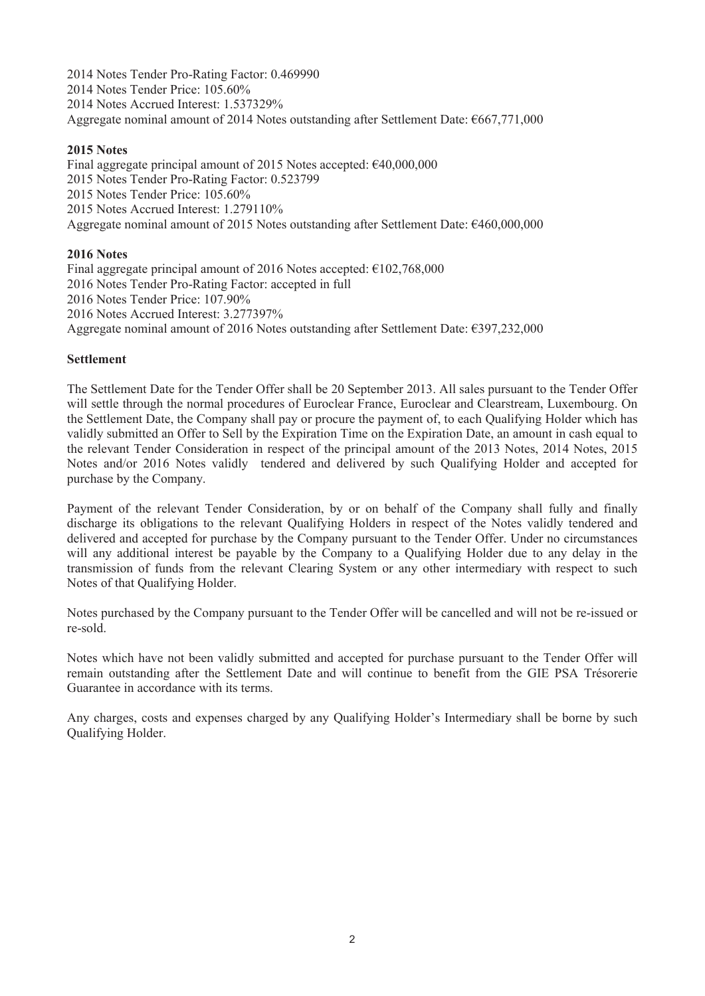2014 Notes Tender Pro-Rating Factor: 0.469990 2014 Notes Tender Price: 105.60% 2014 Notes Accrued Interest: 1.537329% Aggregate nominal amount of 2014 Notes outstanding after Settlement Date: €667,771,000

## **2015 Notes**

Final aggregate principal amount of 2015 Notes accepted: €40,000,000 2015 Notes Tender Pro-Rating Factor: 0.523799 2015 Notes Tender Price: 105.60% 2015 Notes Accrued Interest: 1.279110% Aggregate nominal amount of 2015 Notes outstanding after Settlement Date: €460,000,000

## **2016 Notes**

Final aggregate principal amount of 2016 Notes accepted:  $€102,768,000$ 2016 Notes Tender Pro-Rating Factor: accepted in full 2016 Notes Tender Price: 107.90% 2016 Notes Accrued Interest: 3.277397% Aggregate nominal amount of 2016 Notes outstanding after Settlement Date: €397,232,000

## **Settlement**

The Settlement Date for the Tender Offer shall be 20 September 2013. All sales pursuant to the Tender Offer will settle through the normal procedures of Euroclear France, Euroclear and Clearstream, Luxembourg. On the Settlement Date, the Company shall pay or procure the payment of, to each Qualifying Holder which has validly submitted an Offer to Sell by the Expiration Time on the Expiration Date, an amount in cash equal to the relevant Tender Consideration in respect of the principal amount of the 2013 Notes, 2014 Notes, 2015 Notes and/or 2016 Notes validly tendered and delivered by such Qualifying Holder and accepted for purchase by the Company.

Payment of the relevant Tender Consideration, by or on behalf of the Company shall fully and finally discharge its obligations to the relevant Qualifying Holders in respect of the Notes validly tendered and delivered and accepted for purchase by the Company pursuant to the Tender Offer. Under no circumstances will any additional interest be payable by the Company to a Qualifying Holder due to any delay in the transmission of funds from the relevant Clearing System or any other intermediary with respect to such Notes of that Qualifying Holder.

Notes purchased by the Company pursuant to the Tender Offer will be cancelled and will not be re-issued or re-sold.

Notes which have not been validly submitted and accepted for purchase pursuant to the Tender Offer will remain outstanding after the Settlement Date and will continue to benefit from the GIE PSA Trésorerie Guarantee in accordance with its terms.

Any charges, costs and expenses charged by any Qualifying Holder's Intermediary shall be borne by such Qualifying Holder.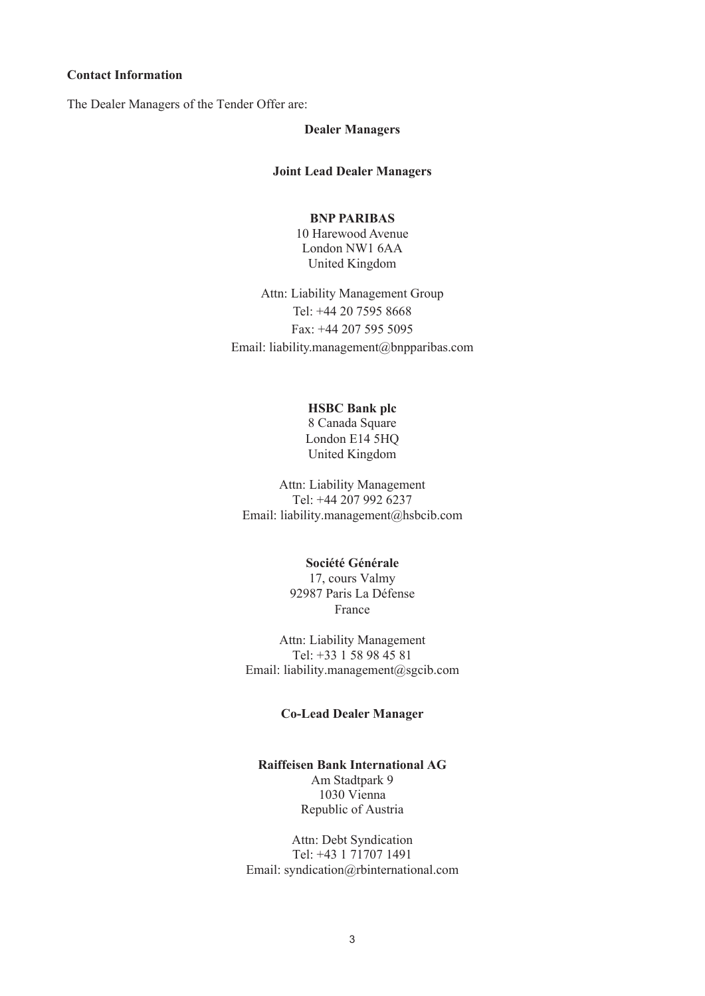## **Contact Information**

The Dealer Managers of the Tender Offer are:

#### **Dealer Managers**

### **Joint Lead Dealer Managers**

## **BNP PARIBAS**

10 Harewood Avenue London NW1 6AA United Kingdom

Attn: Liability Management Group Tel: +44 20 7595 8668 Fax: +44 207 595 5095 Email: liability.management@bnpparibas.com

## **HSBC Bank plc**

8 Canada Square London E14 5HQ United Kingdom

Attn: Liability Management Tel: +44 207 992 6237 Email: liability.management@hsbcib.com

# **Société Générale**

17, cours Valmy 92987 Paris La Défense France

Attn: Liability Management Tel: +33 1 58 98 45 81 Email: liability.management@sgcib.com

#### **Co-Lead Dealer Manager**

**Raiffeisen Bank International AG** Am Stadtpark 9 1030 Vienna Republic of Austria

Attn: Debt Syndication Tel: +43 1 71707 1491 Email: syndication@rbinternational.com